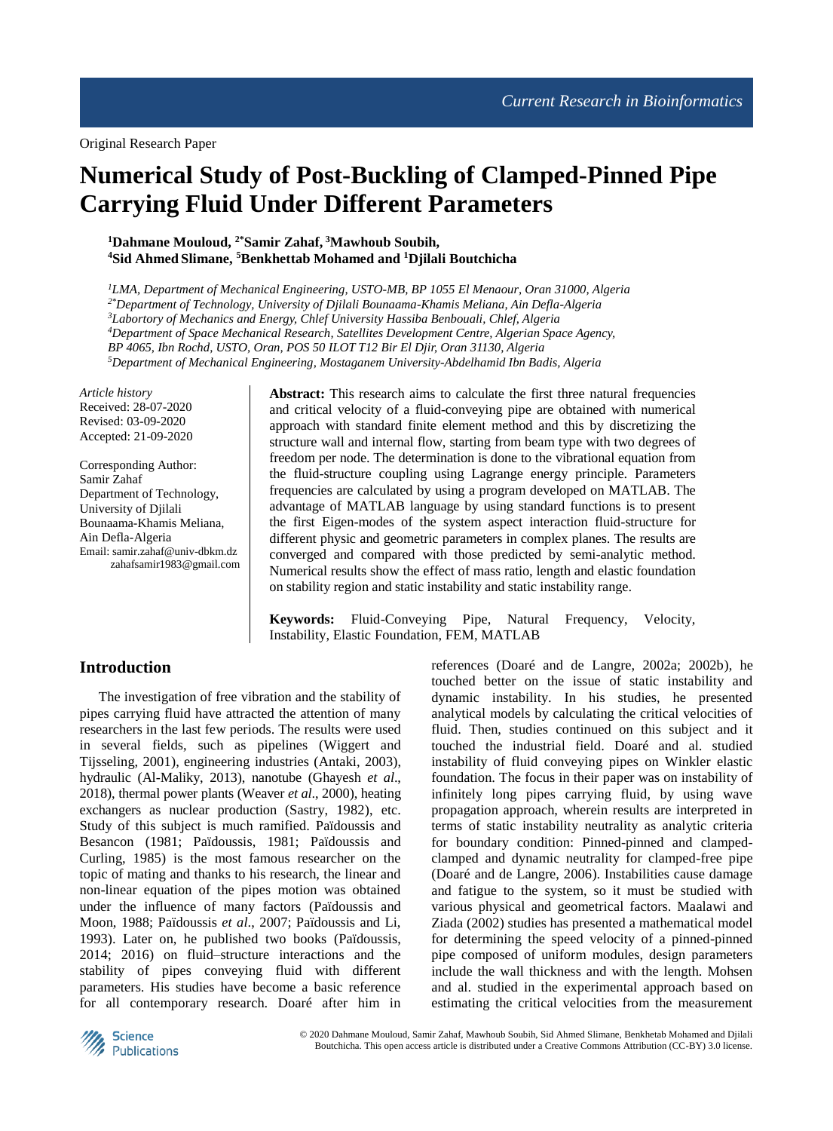# **Numerical Study of Post-Buckling of Clamped-Pinned Pipe Carrying Fluid Under Different Parameters**

## **<sup>1</sup>Dahmane Mouloud, 2\*Samir Zahaf, <sup>3</sup>Mawhoub Soubih, <sup>4</sup>Sid Ahmed Slimane, <sup>5</sup>Benkhettab Mohamed and <sup>1</sup>Djilali Boutchicha**

*LMA, Department of Mechanical Engineering, USTO-MB, BP 1055 El Menaour, Oran 31000, Algeria 2\*Department of Technology, University of Djilali Bounaama-Khamis Meliana, Ain Defla-Algeria Labortory of Mechanics and Energy, Chlef University Hassiba Benbouali, Chlef, Algeria Department of Space Mechanical Research, Satellites Development Centre, Algerian Space Agency, BP 4065, Ibn Rochd, USTO, Oran, POS 50 ILOT T12 Bir El Djir, Oran 31130, Algeria Department of Mechanical Engineering, Mostaganem University-Abdelhamid Ibn Badis, Algeria*

*Article history* Received: 28-07-2020 Revised: 03-09-2020 Accepted: 21-09-2020

Corresponding Author: Samir Zahaf Department of Technology, University of Djilali Bounaama-Khamis Meliana, Ain Defla-Algeria Email: samir.zahaf@univ-dbkm.dz zahafsamir1983@gmail.com **Abstract:** This research aims to calculate the first three natural frequencies and critical velocity of a fluid-conveying pipe are obtained with numerical approach with standard finite element method and this by discretizing the structure wall and internal flow, starting from beam type with two degrees of freedom per node. The determination is done to the vibrational equation from the fluid-structure coupling using Lagrange energy principle. Parameters frequencies are calculated by using a program developed on MATLAB. The advantage of MATLAB language by using standard functions is to present the first Eigen-modes of the system aspect interaction fluid-structure for different physic and geometric parameters in complex planes. The results are converged and compared with those predicted by semi-analytic method. Numerical results show the effect of mass ratio, length and elastic foundation on stability region and static instability and static instability range.

**Keywords:** Fluid-Conveying Pipe, Natural Frequency, Velocity, Instability, Elastic Foundation, FEM, MATLAB

# **Introduction**

The investigation of free vibration and the stability of pipes carrying fluid have attracted the attention of many researchers in the last few periods. The results were used in several fields, such as pipelines (Wiggert and Tijsseling, 2001), engineering industries (Antaki, 2003), hydraulic (Al-Maliky, 2013), nanotube (Ghayesh *et al*., 2018), thermal power plants (Weaver *et al*., 2000), heating exchangers as nuclear production (Sastry, 1982), etc. Study of this subject is much ramified. Païdoussis and Besancon (1981; Païdoussis, 1981; Païdoussis and Curling, 1985) is the most famous researcher on the topic of mating and thanks to his research, the linear and non-linear equation of the pipes motion was obtained under the influence of many factors (Païdoussis and Moon, 1988; Païdoussis *et al*., 2007; Païdoussis and Li, 1993). Later on, he published two books (Païdoussis, 2014; 2016) on fluid–structure interactions and the stability of pipes conveying fluid with different parameters. His studies have become a basic reference for all contemporary research. Doaré after him in

references (Doaré and de Langre, 2002a; 2002b), he touched better on the issue of static instability and dynamic instability. In his studies, he presented analytical models by calculating the critical velocities of fluid. Then, studies continued on this subject and it touched the industrial field. Doaré and al. studied instability of fluid conveying pipes on Winkler elastic foundation. The focus in their paper was on instability of infinitely long pipes carrying fluid, by using wave propagation approach, wherein results are interpreted in terms of static instability neutrality as analytic criteria for boundary condition: Pinned-pinned and clampedclamped and dynamic neutrality for clamped-free pipe (Doaré and de Langre, 2006). Instabilities cause damage and fatigue to the system, so it must be studied with various physical and geometrical factors. Maalawi and Ziada (2002) studies has presented a mathematical model for determining the speed velocity of a pinned-pinned pipe composed of uniform modules, design parameters include the wall thickness and with the length. Mohsen and al. studied in the experimental approach based on estimating the critical velocities from the measurement

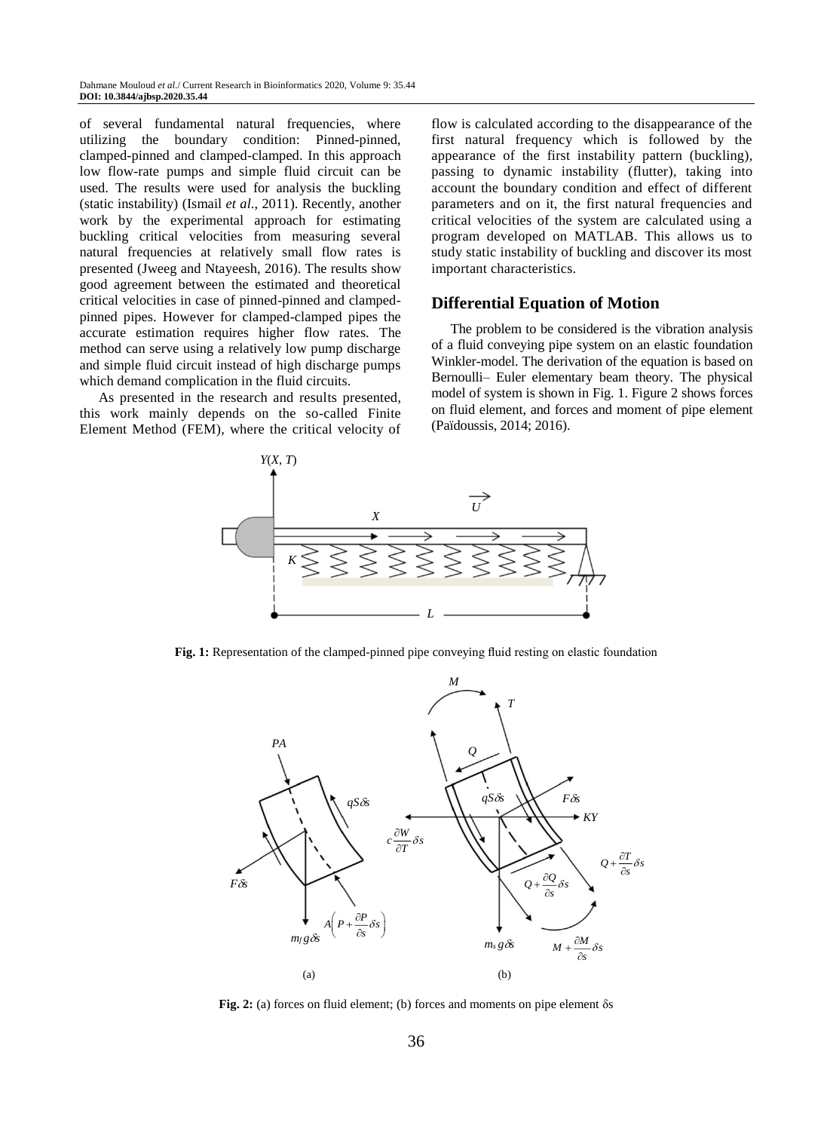of several fundamental natural frequencies, where utilizing the boundary condition: Pinned-pinned, clamped-pinned and clamped-clamped. In this approach low flow-rate pumps and simple fluid circuit can be used. The results were used for analysis the buckling (static instability) (Ismail *et al*., 2011). Recently, another work by the experimental approach for estimating buckling critical velocities from measuring several natural frequencies at relatively small flow rates is presented (Jweeg and Ntayeesh, 2016). The results show good agreement between the estimated and theoretical critical velocities in case of pinned-pinned and clampedpinned pipes. However for clamped-clamped pipes the accurate estimation requires higher flow rates. The method can serve using a relatively low pump discharge and simple fluid circuit instead of high discharge pumps which demand complication in the fluid circuits.

As presented in the research and results presented, this work mainly depends on the so-called Finite Element Method (FEM), where the critical velocity of flow is calculated according to the disappearance of the first natural frequency which is followed by the appearance of the first instability pattern (buckling), passing to dynamic instability (flutter), taking into account the boundary condition and effect of different parameters and on it, the first natural frequencies and critical velocities of the system are calculated using a program developed on MATLAB. This allows us to study static instability of buckling and discover its most important characteristics.

# **Differential Equation of Motion**

The problem to be considered is the vibration analysis of a fluid conveying pipe system on an elastic foundation Winkler-model. The derivation of the equation is based on Bernoulli– Euler elementary beam theory. The physical model of system is shown in Fig. 1. Figure 2 shows forces on fluid element, and forces and moment of pipe element (Païdoussis, 2014; 2016).



**Fig. 1:** Representation of the clamped-pinned pipe conveying fluid resting on elastic foundation



**Fig. 2:** (a) forces on fluid element; (b) forces and moments on pipe element δs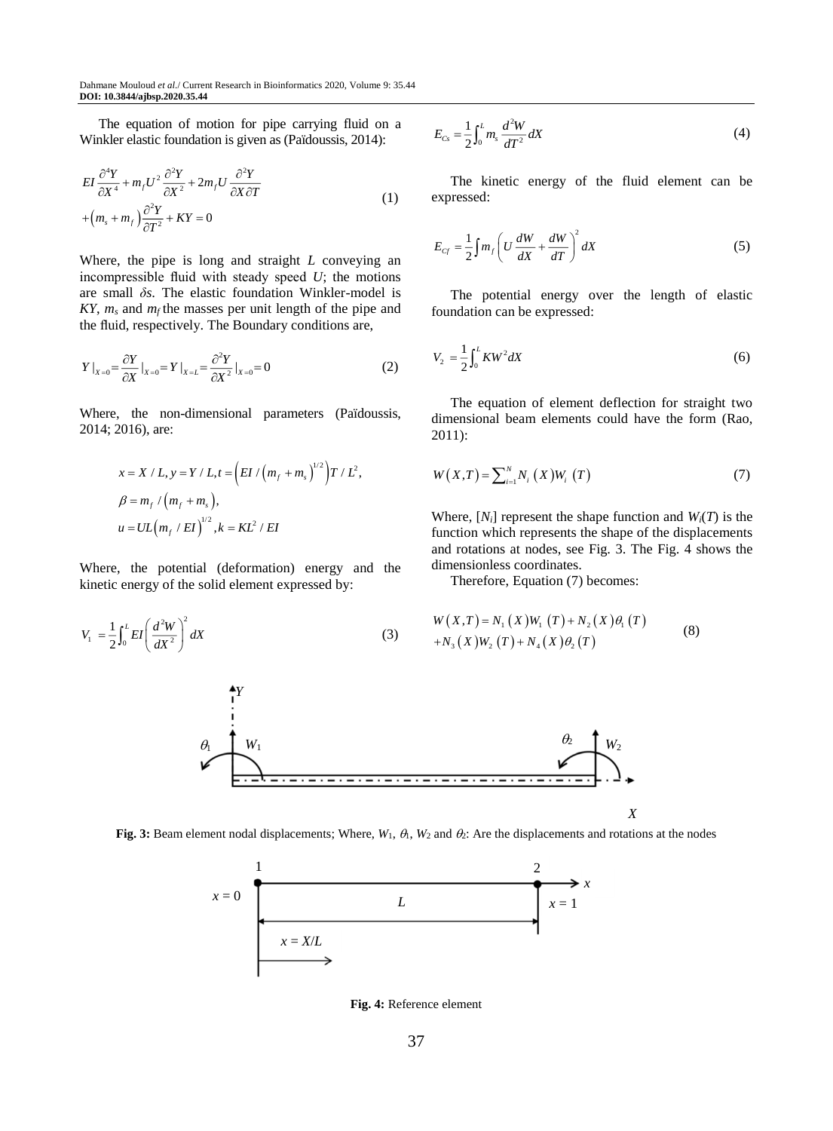The equation of motion for pipe carrying fluid on a Winkler elastic foundation is given as (Païdoussis, 2014):

$$
EI\frac{\partial^4 Y}{\partial X^4} + m_f U^2 \frac{\partial^2 Y}{\partial X^2} + 2m_f U \frac{\partial^2 Y}{\partial X \partial T}
$$
  
+ 
$$
\left(m_s + m_f\right) \frac{\partial^2 Y}{\partial T^2} + KY = 0
$$
 (1)

Where, the pipe is long and straight *L* conveying an incompressible fluid with steady speed *U*; the motions are small *δs*. The elastic foundation Winkler-model is  $KY, m_s$  and  $m_f$  the masses per unit length of the pipe and the fluid, respectively. The Boundary conditions are,

$$
Y|_{X=0} = \frac{\partial Y}{\partial X}|_{X=0} = Y|_{X=L} = \frac{\partial^2 Y}{\partial X^2}|_{X=0} = 0
$$
\n(2)

Where, the non-dimensional parameters (Païdoussis, 2014; 2016), are:

$$
x = X / L, y = Y / L, t = \left( EI / (m_f + m_s)^{1/2} \right) T / L^2,
$$
  
\n
$$
\beta = m_f / (m_f + m_s),
$$
  
\n
$$
u = UL (m_f / EI)^{1/2}, k = KL^2 / EI
$$

Where, the potential (deformation) energy and the kinetic energy of the solid element expressed by:

$$
V_1 = \frac{1}{2} \int_0^L EI \left(\frac{d^2 W}{dX^2}\right)^2 dX\tag{3}
$$

$$
E_{Cs} = \frac{1}{2} \int_0^L m_s \frac{d^2 W}{dT^2} dX \tag{4}
$$

The kinetic energy of the fluid element can be expressed:

$$
E_{C_f} = \frac{1}{2} \int m_f \left( U \frac{dW}{dX} + \frac{dW}{dT} \right)^2 dX \tag{5}
$$

The potential energy over the length of elastic foundation can be expressed:

$$
V_2 = \frac{1}{2} \int_0^L KW^2 dX \tag{6}
$$

The equation of element deflection for straight two dimensional beam elements could have the form (Rao, 2011):

$$
W(X,T) = \sum_{i=1}^{N} N_i(X) W_i(T)
$$
 (7)

Where,  $[N_i]$  represent the shape function and  $W_i(T)$  is the function which represents the shape of the displacements and rotations at nodes, see Fig. 3. The Fig. 4 shows the dimensionless coordinates.

Therefore, Equation (7) becomes:

$$
W(X,T) = N_1(X)W_1(T) + N_2(X)\theta_1(T)
$$
  
+ $N_3(X)W_2(T) + N_4(X)\theta_2(T)$  (8)



**Fig. 3:** Beam element nodal displacements; Where,  $W_1$ ,  $\theta$ ,  $W_2$  and  $\theta$ : Are the displacements and rotations at the nodes



**Fig. 4:** Reference element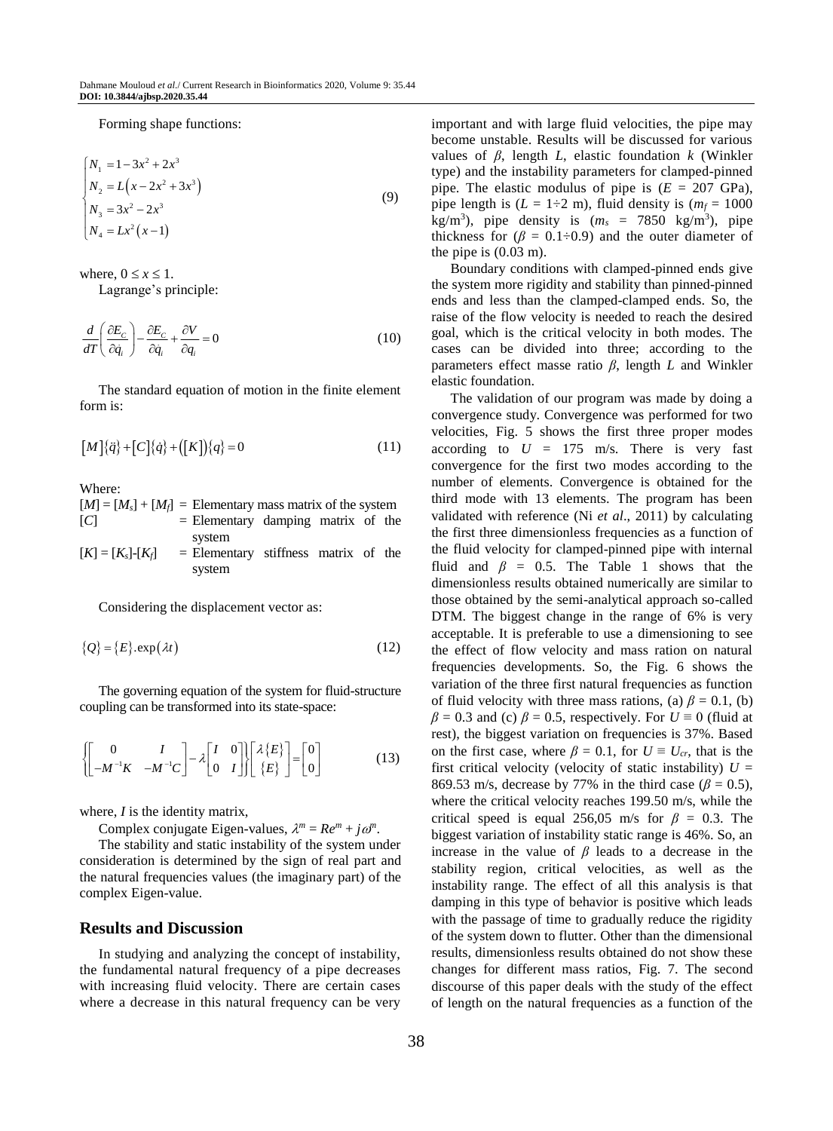Forming shape functions:

$$
\begin{cases}\nN_1 = 1 - 3x^2 + 2x^3 \\
N_2 = L(x - 2x^2 + 3x^3) \\
N_3 = 3x^2 - 2x^3 \\
N_4 = Lx^2(x - 1)\n\end{cases}
$$
\n(9)

where,  $0 \le x \le 1$ . Lagrange's principle:

$$
\frac{d}{dT}\left(\frac{\partial E_C}{\partial \dot{q}_i}\right) - \frac{\partial E_C}{\partial \dot{q}_i} + \frac{\partial V}{\partial q_i} = 0\tag{10}
$$

The standard equation of motion in the finite element form is:

$$
[M]{\dot{q}} + [C]{\dot{q}} + ([K])\{q\} = 0 \tag{11}
$$

Where:

$$
[M] = [M_s] + [M_f] = \text{Elementary mass matrix of the system}
$$
  
[C] = Elementary damping matrix of the system  

$$
[K] = [K_s] - [K_f] = \text{Elementary stiffness matrix of the system}
$$

Considering the displacement vector as:

$$
\{Q\} = \{E\}.\exp(\lambda t) \tag{12}
$$

The governing equation of the system for fluid-structure coupling can be transformed into its state-space:

$$
\begin{bmatrix} 0 & I \\ -M^{-1}K & -M^{-1}C \end{bmatrix} - \lambda \begin{bmatrix} I & 0 \\ 0 & I \end{bmatrix} \begin{bmatrix} \lambda \{E\} \\ \{E\} \end{bmatrix} = \begin{bmatrix} 0 \\ 0 \end{bmatrix}
$$
(13)

where, *I* is the identity matrix,

Complex conjugate Eigen-values,  $\lambda^m = Re^m + j\omega^n$ .

The stability and static instability of the system under consideration is determined by the sign of real part and the natural frequencies values (the imaginary part) of the complex Eigen-value.

#### **Results and Discussion**

In studying and analyzing the concept of instability, the fundamental natural frequency of a pipe decreases with increasing fluid velocity. There are certain cases where a decrease in this natural frequency can be very important and with large fluid velocities, the pipe may become unstable. Results will be discussed for various values of *β*, length *L*, elastic foundation *k* (Winkler type) and the instability parameters for clamped-pinned pipe. The elastic modulus of pipe is  $(E = 207 \text{ GPa})$ , pipe length is  $(L = 1 \div 2 \text{ m})$ , fluid density is  $(m_f = 1000$ kg/m<sup>3</sup>), pipe density is  $(m_s = 7850 \text{ kg/m}^3)$ , pipe thickness for  $(\beta = 0.1 \div 0.9)$  and the outer diameter of the pipe is (0.03 m).

Boundary conditions with clamped-pinned ends give the system more rigidity and stability than pinned-pinned ends and less than the clamped-clamped ends. So, the raise of the flow velocity is needed to reach the desired goal, which is the critical velocity in both modes. The cases can be divided into three; according to the parameters effect masse ratio *β*, length *L* and Winkler elastic foundation.

The validation of our program was made by doing a convergence study. Convergence was performed for two velocities, Fig. 5 shows the first three proper modes according to  $U = 175$  m/s. There is very fast convergence for the first two modes according to the number of elements. Convergence is obtained for the third mode with 13 elements. The program has been validated with reference (Ni *et al*., 2011) by calculating the first three dimensionless frequencies as a function of the fluid velocity for clamped-pinned pipe with internal fluid and  $\beta$  = 0.5. The Table 1 shows that the dimensionless results obtained numerically are similar to those obtained by the semi-analytical approach so-called DTM. The biggest change in the range of 6% is very acceptable. It is preferable to use a dimensioning to see the effect of flow velocity and mass ration on natural frequencies developments. So, the Fig. 6 shows the variation of the three first natural frequencies as function of fluid velocity with three mass rations, (a)  $\beta = 0.1$ , (b)  $\beta = 0.3$  and (c)  $\beta = 0.5$ , respectively. For  $U = 0$  (fluid at rest), the biggest variation on frequencies is 37%. Based on the first case, where  $\beta = 0.1$ , for  $U \equiv U_{cr}$ , that is the first critical velocity (velocity of static instability)  $U =$ 869.53 m/s, decrease by 77% in the third case ( $\beta$  = 0.5), where the critical velocity reaches 199.50 m/s, while the critical speed is equal 256,05 m/s for  $\beta = 0.3$ . The biggest variation of instability static range is 46%. So, an increase in the value of  $\beta$  leads to a decrease in the stability region, critical velocities, as well as the instability range. The effect of all this analysis is that damping in this type of behavior is positive which leads with the passage of time to gradually reduce the rigidity of the system down to flutter. Other than the dimensional results, dimensionless results obtained do not show these changes for different mass ratios, Fig. 7. The second discourse of this paper deals with the study of the effect of length on the natural frequencies as a function of the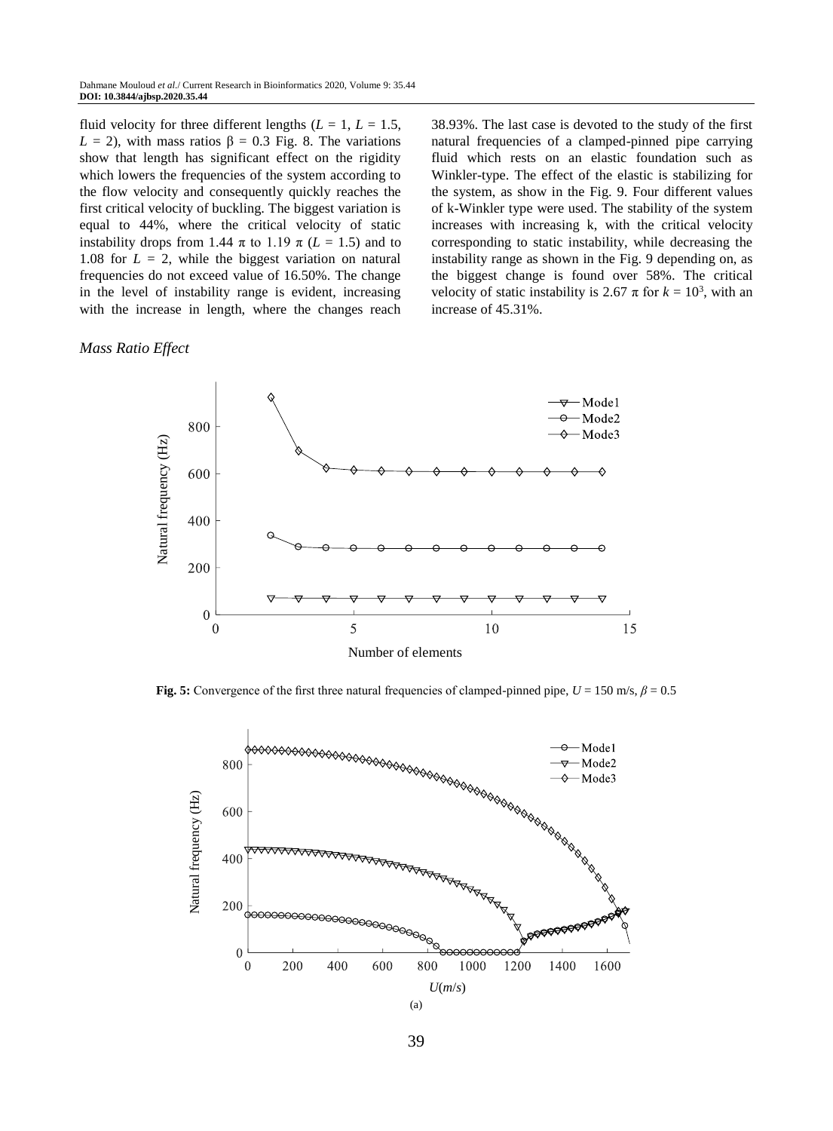fluid velocity for three different lengths  $(L = 1, L = 1.5,$ *L* = 2), with mass ratios  $β = 0.3$  Fig. 8. The variations show that length has significant effect on the rigidity which lowers the frequencies of the system according to the flow velocity and consequently quickly reaches the first critical velocity of buckling. The biggest variation is equal to 44%, where the critical velocity of static instability drops from 1.44  $\pi$  to 1.19  $\pi$  ( $L = 1.5$ ) and to 1.08 for  $L = 2$ , while the biggest variation on natural frequencies do not exceed value of 16.50%. The change in the level of instability range is evident, increasing with the increase in length, where the changes reach

#### *Mass Ratio Effect*

38.93%. The last case is devoted to the study of the first natural frequencies of a clamped-pinned pipe carrying fluid which rests on an elastic foundation such as Winkler-type. The effect of the elastic is stabilizing for the system, as show in the Fig. 9. Four different values of k-Winkler type were used. The stability of the system increases with increasing k, with the critical velocity corresponding to static instability, while decreasing the instability range as shown in the Fig. 9 depending on, as the biggest change is found over 58%. The critical velocity of static instability is 2.67  $\pi$  for  $k = 10^3$ , with an increase of 45.31%.



**Fig. 5:** Convergence of the first three natural frequencies of clamped-pinned pipe,  $U = 150$  m/s,  $\beta = 0.5$ 



39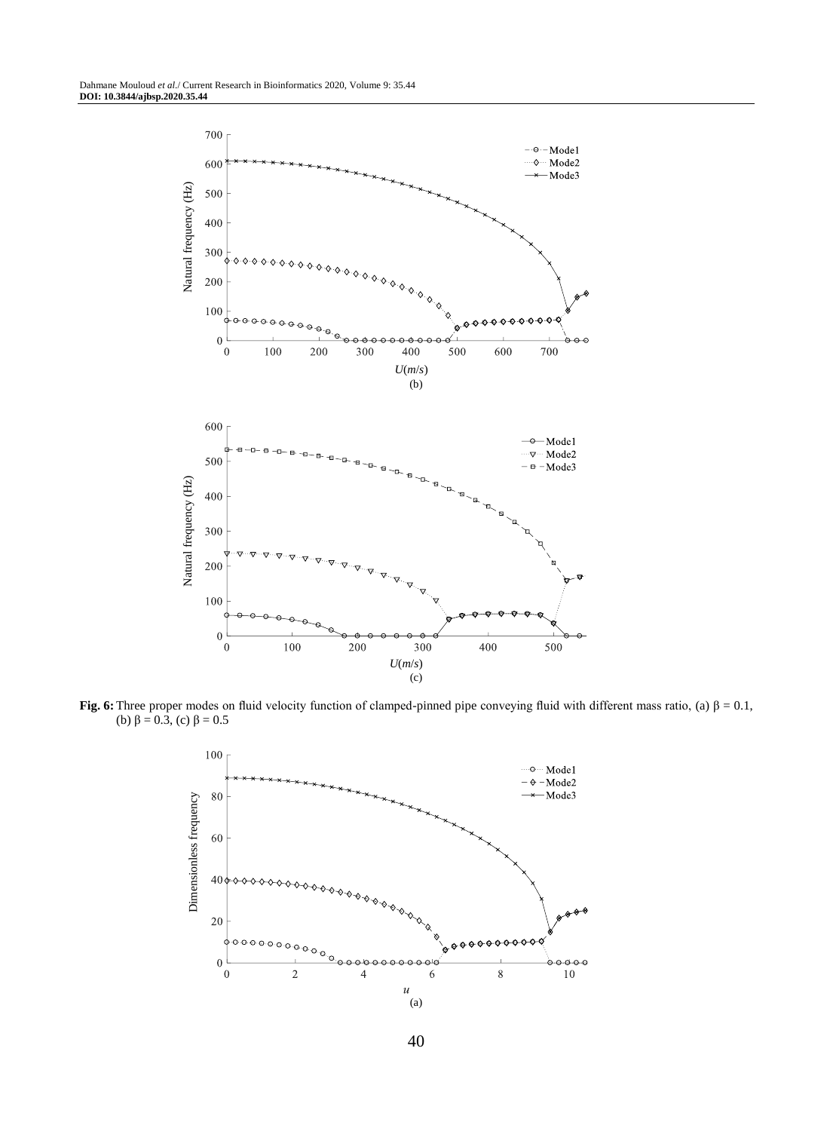

**Fig. 6:** Three proper modes on fluid velocity function of clamped-pinned pipe conveying fluid with different mass ratio, (a)  $\beta = 0.1$ , (b)  $\beta = 0.3$ , (c)  $\beta = 0.5$ 

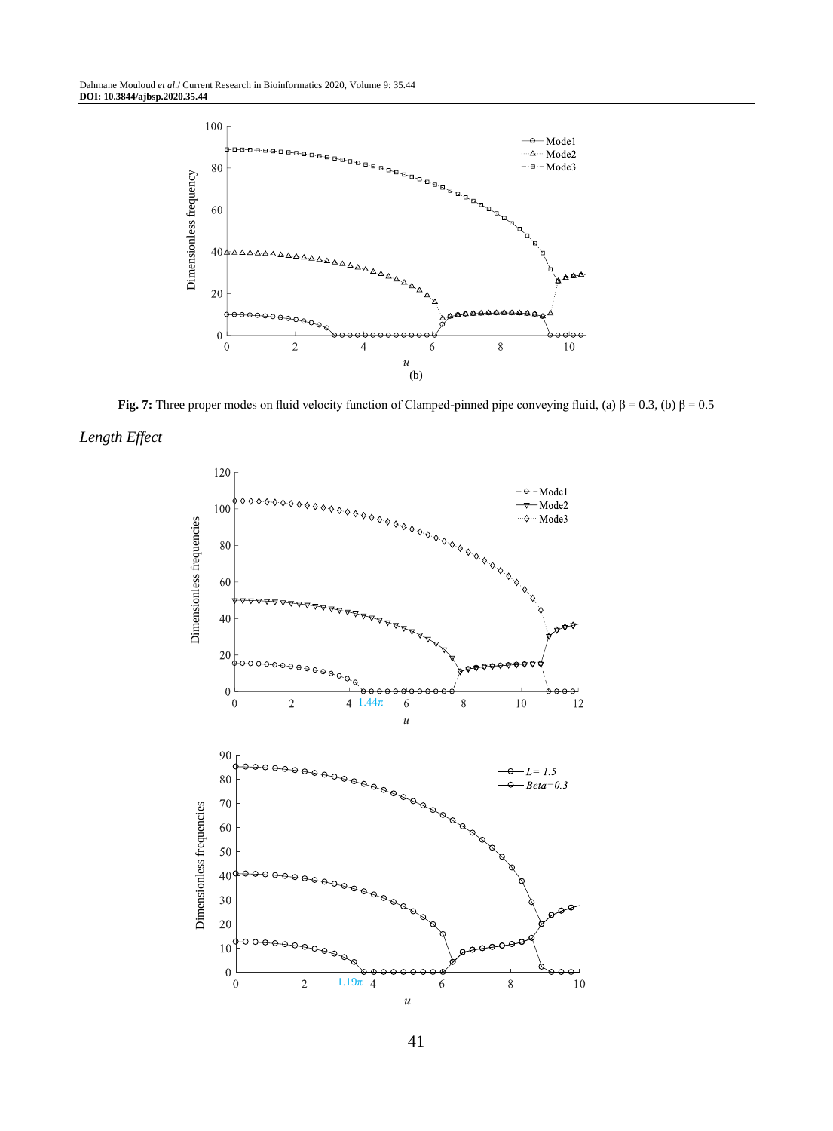

**Fig. 7:** Three proper modes on fluid velocity function of Clamped-pinned pipe conveying fluid, (a)  $\beta = 0.3$ , (b)  $\beta = 0.5$ 





41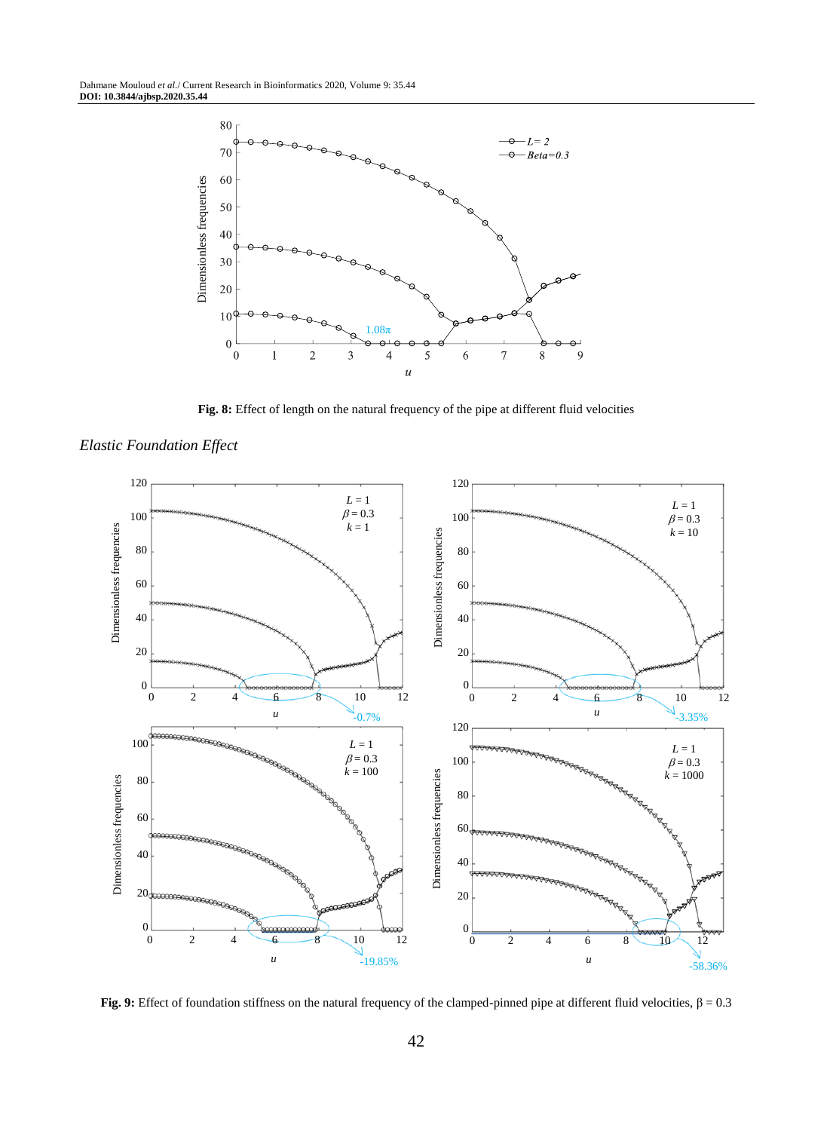

**Fig. 8:** Effect of length on the natural frequency of the pipe at different fluid velocities



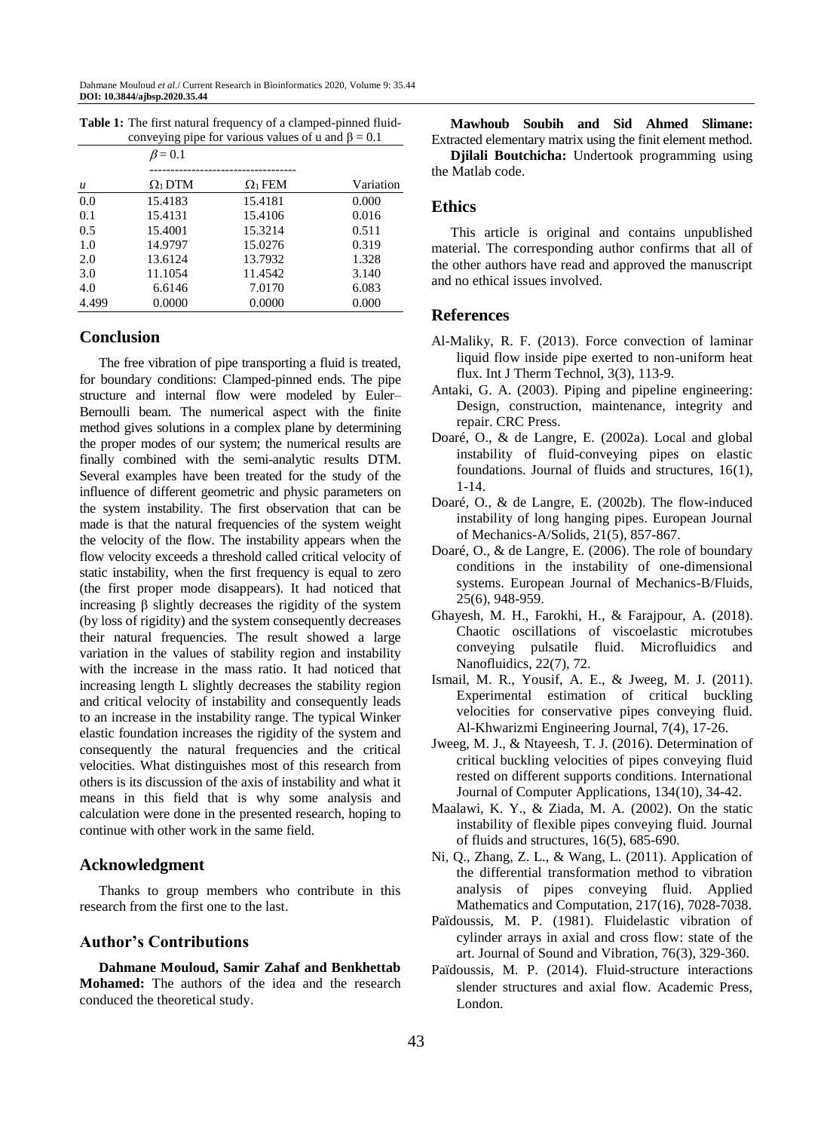|                  | $\beta$ = 0.1  |                |           |
|------------------|----------------|----------------|-----------|
|                  |                |                |           |
| $\boldsymbol{u}$ | $\Omega_1$ DTM | $\Omega_1$ FEM | Variation |
| 0.0              | 15.4183        | 15.4181        | 0.000     |
| 0.1              | 15.4131        | 15.4106        | 0.016     |
| 0.5              | 15.4001        | 15.3214        | 0.511     |
| 1.0              | 14.9797        | 15.0276        | 0.319     |
| 2.0              | 13.6124        | 13.7932        | 1.328     |
| 3.0              | 11.1054        | 11.4542        | 3.140     |
| 4.0              | 6.6146         | 7.0170         | 6.083     |
| 4.499            | 0.0000         | 0.0000         | 0.000     |

**Table 1:** The first natural frequency of a clamped-pinned fluidconveying pipe for various values of u and  $\beta = 0.1$ 

## **Conclusion**

The free vibration of pipe transporting a fluid is treated, for boundary conditions: Clamped-pinned ends. The pipe structure and internal flow were modeled by Euler– Bernoulli beam. The numerical aspect with the finite method gives solutions in a complex plane by determining the proper modes of our system; the numerical results are finally combined with the semi-analytic results DTM. Several examples have been treated for the study of the influence of different geometric and physic parameters on the system instability. The first observation that can be made is that the natural frequencies of the system weight the velocity of the flow. The instability appears when the flow velocity exceeds a threshold called critical velocity of static instability, when the first frequency is equal to zero (the first proper mode disappears). It had noticed that increasing β slightly decreases the rigidity of the system (by loss of rigidity) and the system consequently decreases their natural frequencies. The result showed a large variation in the values of stability region and instability with the increase in the mass ratio. It had noticed that increasing length L slightly decreases the stability region and critical velocity of instability and consequently leads to an increase in the instability range. The typical Winker elastic foundation increases the rigidity of the system and consequently the natural frequencies and the critical velocities. What distinguishes most of this research from others is its discussion of the axis of instability and what it means in this field that is why some analysis and calculation were done in the presented research, hoping to continue with other work in the same field.

#### **Acknowledgment**

Thanks to group members who contribute in this research from the first one to the last.

#### **Author's Contributions**

**Dahmane Mouloud, Samir Zahaf and Benkhettab Mohamed:** The authors of the idea and the research conduced the theoretical study.

**Mawhoub Soubih and Sid Ahmed Slimane:** Extracted elementary matrix using the finit element method.

**Djilali Boutchicha:** Undertook programming using the Matlab code.

## **Ethics**

This article is original and contains unpublished material. The corresponding author confirms that all of the other authors have read and approved the manuscript and no ethical issues involved.

## **References**

- Al-Maliky, R. F. (2013). Force convection of laminar liquid flow inside pipe exerted to non-uniform heat flux. Int J Therm Technol, 3(3), 113-9.
- Antaki, G. A. (2003). Piping and pipeline engineering: Design, construction, maintenance, integrity and repair. CRC Press.
- Doaré, O., & de Langre, E. (2002a). Local and global instability of fluid-conveying pipes on elastic foundations. Journal of fluids and structures, 16(1), 1-14.
- Doaré, O., & de Langre, E. (2002b). The flow-induced instability of long hanging pipes. European Journal of Mechanics-A/Solids, 21(5), 857-867.
- Doaré, O., & de Langre, E. (2006). The role of boundary conditions in the instability of one-dimensional systems. European Journal of Mechanics-B/Fluids, 25(6), 948-959.
- Ghayesh, M. H., Farokhi, H., & Farajpour, A. (2018). Chaotic oscillations of viscoelastic microtubes conveying pulsatile fluid. Microfluidics and Nanofluidics, 22(7), 72.
- Ismail, M. R., Yousif, A. E., & Jweeg, M. J. (2011). Experimental estimation of critical buckling velocities for conservative pipes conveying fluid. Al-Khwarizmi Engineering Journal, 7(4), 17-26.
- Jweeg, M. J., & Ntayeesh, T. J. (2016). Determination of critical buckling velocities of pipes conveying fluid rested on different supports conditions. International Journal of Computer Applications, 134(10), 34-42.
- Maalawi, K. Y., & Ziada, M. A. (2002). On the static instability of flexible pipes conveying fluid. Journal of fluids and structures, 16(5), 685-690.
- Ni, Q., Zhang, Z. L., & Wang, L. (2011). Application of the differential transformation method to vibration analysis of pipes conveying fluid. Applied Mathematics and Computation, 217(16), 7028-7038.
- Païdoussis, M. P. (1981). Fluidelastic vibration of cylinder arrays in axial and cross flow: state of the art. Journal of Sound and Vibration, 76(3), 329-360.
- Païdoussis, M. P. (2014). Fluid-structure interactions slender structures and axial flow. Academic Press, London.